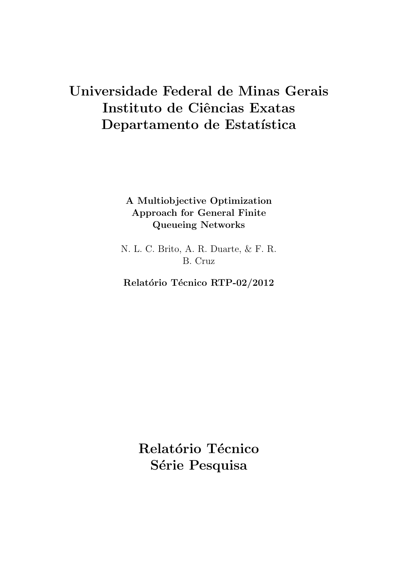# Universidade Federal de Minas Gerais Instituto de Ciências Exatas Departamento de Estatística

# A Multiobjective Optimization Approach for General Finite Queueing Networks

N. L. C. Brito, A. R. Duarte, & F. R. B. Cruz

Relatório Técnico RTP-02/2012

Relatório Técnico Série Pesquisa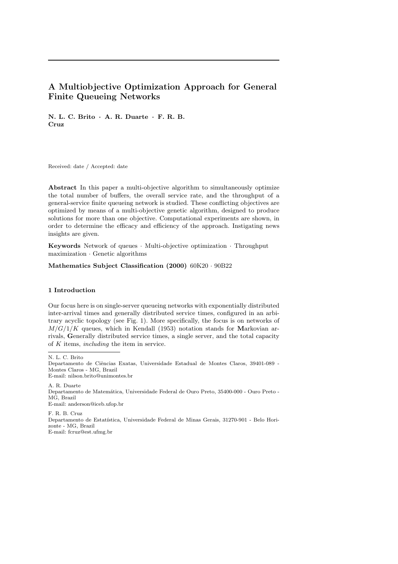# A Multiobjective Optimization Approach for General Finite Queueing Networks

N. L. C. Brito · A. R. Duarte · F. R. B. Cruz

Received: date / Accepted: date

Abstract In this paper a multi-objective algorithm to simultaneously optimize the total number of buffers, the overall service rate, and the throughput of a general-service finite queueing network is studied. These conflicting objectives are optimized by means of a multi-objective genetic algorithm, designed to produce solutions for more than one objective. Computational experiments are shown, in order to determine the efficacy and efficiency of the approach. Instigating news insights are given.

Keywords Network of queues · Multi-objective optimization · Throughput maximization · Genetic algorithms

Mathematics Subject Classification (2000) 60K20 · 90B22

# 1 Introduction

Our focus here is on single-server queueing networks with exponentially distributed inter-arrival times and generally distributed service times, configured in an arbitrary acyclic topology (see Fig. 1). More specifically, the focus is on networks of  $M/G/1/K$  queues, which in Kendall (1953) notation stands for Markovian arrivals, Generally distributed service times, a single server, and the total capacity of  $K$  items, *including* the item in service.

N. L. C. Brito

Departamento de Ciˆencias Exatas, Universidade Estadual de Montes Claros, 39401-089 - Montes Claros - MG, Brazil E-mail: nilson.brito@unimontes.br

A. R. Duarte Departamento de Matem´atica, Universidade Federal de Ouro Preto, 35400-000 - Ouro Preto - MG, Brazil E-mail: anderson@iceb.ufop.br

F. R. B. Cruz Departamento de Estatística, Universidade Federal de Minas Gerais, 31270-901 - Belo Horizonte - MG, Brazil E-mail: fcruz@est.ufmg.br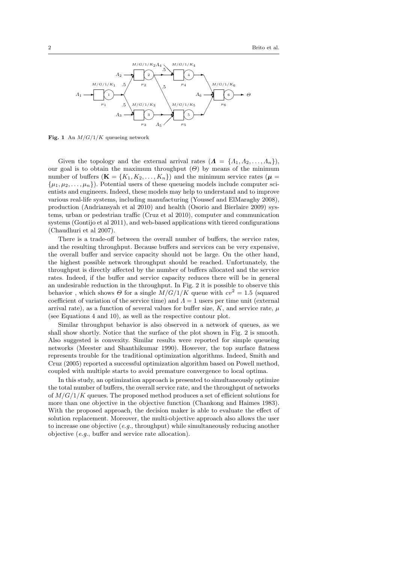

Fig. 1 An  $M/G/1/K$  queueing network

Given the topology and the external arrival rates  $(A = \{A_1, A_2, \ldots, A_n\}),$ our goal is to obtain the maximum throughput  $(\Theta)$  by means of the minimum number of buffers  $(\mathbf{K} = \{K_1, K_2, \ldots, K_n\})$  and the minimum service rates  $(\boldsymbol{\mu} =$  $\{\mu_1, \mu_2, \ldots, \mu_n\}$ . Potential users of these queueing models include computer scientists and engineers. Indeed, these models may help to understand and to improve various real-life systems, including manufacturing (Youssef and ElMaraghy 2008), production (Andriansyah et al 2010) and health (Osorio and Bierlaire 2009) systems, urban or pedestrian traffic (Cruz et al 2010), computer and communication systems (Gontijo et al 2011), and web-based applications with tiered configurations (Chaudhuri et al 2007).

There is a trade-off between the overall number of buffers, the service rates, and the resulting throughput. Because buffers and services can be very expensive, the overall buffer and service capacity should not be large. On the other hand, the highest possible network throughput should be reached. Unfortunately, the throughput is directly affected by the number of buffers allocated and the service rates. Indeed, if the buffer and service capacity reduces there will be in general an undesirable reduction in the throughput. In Fig. 2 it is possible to observe this behavior, which shows  $\Theta$  for a single  $M/G/1/K$  queue with  $cv^2 = 1.5$  (squared coefficient of variation of the service time) and  $\Lambda = 1$  users per time unit (external arrival rate), as a function of several values for buffer size,  $K$ , and service rate,  $\mu$ (see Equations 4 and 10), as well as the respective contour plot.

Similar throughput behavior is also observed in a network of queues, as we shall show shortly. Notice that the surface of the plot shown in Fig. 2 is smooth. Also suggested is convexity. Similar results were reported for simple queueing networks (Meester and Shanthikumar 1990). However, the top surface flatness represents trouble for the traditional optimization algorithms. Indeed, Smith and Cruz (2005) reported a successful optimization algorithm based on Powell method, coupled with multiple starts to avoid premature convergence to local optima.

In this study, an optimization approach is presented to simultaneously optimize the total number of buffers, the overall service rate, and the throughput of networks of  $M/G/1/K$  queues. The proposed method produces a set of efficient solutions for more than one objective in the objective function (Chankong and Haimes 1983). With the proposed approach, the decision maker is able to evaluate the effect of solution replacement. Moreover, the multi-objective approach also allows the user to increase one objective  $(e.g.,$  throughput) while simultaneously reducing another objective (e.g., buffer and service rate allocation).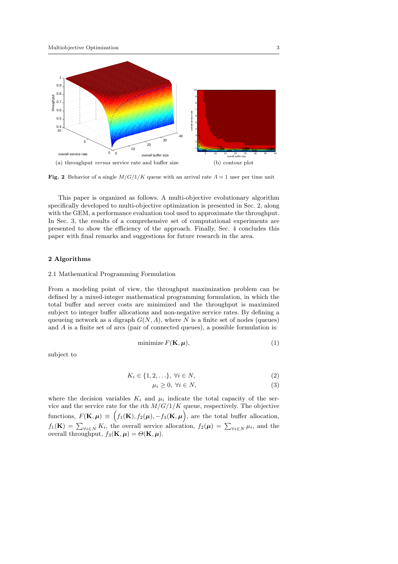

Fig. 2 Behavior of a single  $M/G/1/K$  queue with an arrival rate  $\Lambda = 1$  user per time unit

This paper is organized as follows. A multi-objective evolutionary algorithm specifically developed to multi-objective optimization is presented in Sec. 2, along with the GEM, a performance evaluation tool used to approximate the throughput. In Sec. 3, the results of a comprehensive set of computational experiments are presented to show the efficiency of the approach. Finally, Sec. 4 concludes this paper with final remarks and suggestions for future research in the area.

# 2 Algorithms

#### 2.1 Mathematical Programming Formulation

From a modeling point of view, the throughput maximization problem can be defined by a mixed-integer mathematical programming formulation, in which the total buffer and server costs are minimized and the throughput is maximized subject to integer buffer allocations and non-negative service rates. By defining a queueing network as a digraph  $G(N, A)$ , where N is a finite set of nodes (queues) and A is a finite set of arcs (pair of connected queues), a possible formulation is:

$$
\text{minimize } F(\mathbf{K}, \boldsymbol{\mu}),\tag{1}
$$

subject to

$$
K_i \in \{1, 2, \ldots\}, \ \forall i \in N,
$$
\n<sup>(2)</sup>

$$
\mu_i \ge 0, \ \forall i \in N,\tag{3}
$$

where the decision variables  $K_i$  and  $\mu_i$  indicate the total capacity of the service and the service rate for the *i*th  $M/G/1/K$  queue, respectively. The objective functions,  $F(\mathbf{K}, \boldsymbol{\mu}) \equiv \Big( f_1(\mathbf{K}), f_2(\boldsymbol{\mu}), -f_3(\mathbf{K}, \boldsymbol{\mu}) \Big)$ , are the total buffer allocation,  $f_1(\mathbf{K}) = \sum_{\forall i \in N} K_i$ , the overall service allocation,  $f_2(\mu) = \sum_{\forall i \in N} \mu_i$ , and the overall throughput,  $f_3(\mathbf{K}, \boldsymbol{\mu}) = \Theta(\mathbf{K}, \boldsymbol{\mu}).$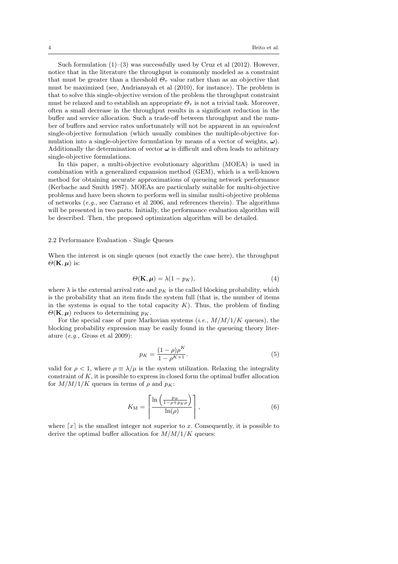Such formulation  $(1)$ – $(3)$  was successfully used by Cruz et al  $(2012)$ . However, notice that in the literature the throughput is commonly modeled as a constraint that must be greater than a threshold  $\Theta_{\tau}$  value rather than as an objective that must be maximized (see, Andriansyah et al (2010), for instance). The problem is that to solve this single-objective version of the problem the throughput constraint must be relaxed and to establish an appropriate  $\Theta_{\tau}$  is not a trivial task. Moreover, often a small decrease in the throughput results in a significant reduction in the buffer and service allocation. Such a trade-off between throughput and the number of buffers and service rates unfortunately will not be apparent in an equivalent single-objective formulation (which usually combines the multiple-objective formulation into a single-objective formulation by means of a vector of weights,  $\omega$ ). Additionally the determination of vector  $\omega$  is difficult and often leads to arbitrary single-objective formulations.

In this paper, a multi-objective evolutionary algorithm (MOEA) is used in combination with a generalized expansion method (GEM), which is a well-known method for obtaining accurate approximations of queueing network performance (Kerbache and Smith 1987). MOEAs are particularly suitable for multi-objective problems and have been shown to perform well in similar multi-objective problems of networks (e.g., see Carrano et al 2006, and references therein). The algorithms will be presented in two parts. Initially, the performance evaluation algorithm will be described. Then, the proposed optimization algorithm will be detailed.

# 2.2 Performance Evaluation - Single Queues

When the interest is on single queues (not exactly the case here), the throughput  $\Theta(\mathbf{K}, \boldsymbol{\mu})$  is:

$$
\Theta(\mathbf{K}, \boldsymbol{\mu}) = \lambda (1 - p_K), \tag{4}
$$

where  $\lambda$  is the external arrival rate and  $p<sub>K</sub>$  is the called blocking probability, which is the probability that an item finds the system full (that is, the number of items in the systems is equal to the total capacity  $K$ ). Thus, the problem of finding  $\Theta(\mathbf{K}, \boldsymbol{\mu})$  reduces to determining  $p_K$ .

For the special case of pure Markovian systems (*i.e.*,  $M/M/1/K$  queues), the blocking probability expression may be easily found in the queueing theory literature (e.g., Gross et al 2009):

$$
p_K = \frac{(1 - \rho)\rho^K}{1 - \rho^{K+1}}.\tag{5}
$$

valid for  $\rho < 1$ , where  $\rho \equiv \lambda / \mu$  is the system utilization. Relaxing the integrality constraint of  $K$ , it is possible to express in closed form the optimal buffer allocation for  $M/M/1/K$  queues in terms of  $\rho$  and  $p_K$ :

$$
K_{\mathbf{M}} = \left\lceil \frac{\ln\left(\frac{p_K}{1 - \rho + p_K \rho}\right)}{\ln(\rho)} \right\rceil, \tag{6}
$$

where  $\lceil x \rceil$  is the smallest integer not superior to x. Consequently, it is possible to derive the optimal buffer allocation for  $M/M/1/K$  queues: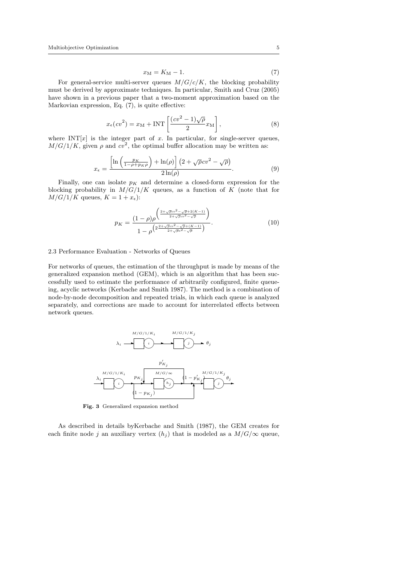$$
x_{\rm M} = K_{\rm M} - 1.\tag{7}
$$

For general-service multi-server queues  $M/G/c/K$ , the blocking probability must be derived by approximate techniques. In particular, Smith and Cruz (2005) have shown in a previous paper that a two-moment approximation based on the Markovian expression, Eq. (7), is quite effective:

$$
x_{\epsilon}(cv^2) = x_M + \text{INT}\left[\frac{(cv^2 - 1)\sqrt{\rho}}{2}x_M\right],\tag{8}
$$

where  $INT[x]$  is the integer part of x. In particular, for single-server queues,  $M/G/1/K$ , given  $\rho$  and  $cv^2$ , the optimal buffer allocation may be written as:

$$
x_{\epsilon} = \frac{\left[\ln\left(\frac{p_K}{1 - \rho + p_K \rho}\right) + \ln(\rho)\right] \left(2 + \sqrt{\rho}cv^2 - \sqrt{\rho}\right)}{2\ln(\rho)}.
$$
\n(9)

Finally, one can isolate  $p<sub>K</sub>$  and determine a closed-form expression for the blocking probability in  $M/G/1/K$  queues, as a function of K (note that for  $M/G/1/K$  queues,  $K = 1 + x_{\epsilon}$ :

$$
p_K = \frac{(1 - \rho)\rho^{\left(\frac{2 + \sqrt{\rho}cv^2 - \sqrt{\rho} + 2(K - 1)}{2 + \sqrt{\rho}cv^2 - \sqrt{\rho}}\right)}}{1 - \rho^{\left(2\frac{2 + \sqrt{\rho}cv^2 - \sqrt{\rho} + (K - 1)}{2 + \sqrt{\rho}s^2 - \sqrt{\rho}}\right)}}.
$$
(10)

#### 2.3 Performance Evaluation - Networks of Queues

For networks of queues, the estimation of the throughput is made by means of the generalized expansion method (GEM), which is an algorithm that has been successfully used to estimate the performance of arbitrarily configured, finite queueing, acyclic networks (Kerbache and Smith 1987). The method is a combination of node-by-node decomposition and repeated trials, in which each queue is analyzed separately, and corrections are made to account for interrelated effects between network queues.



Fig. 3 Generalized expansion method

As described in details byKerbache and Smith (1987), the GEM creates for each finite node j an auxiliary vertex  $(h_i)$  that is modeled as a  $M/G/\infty$  queue,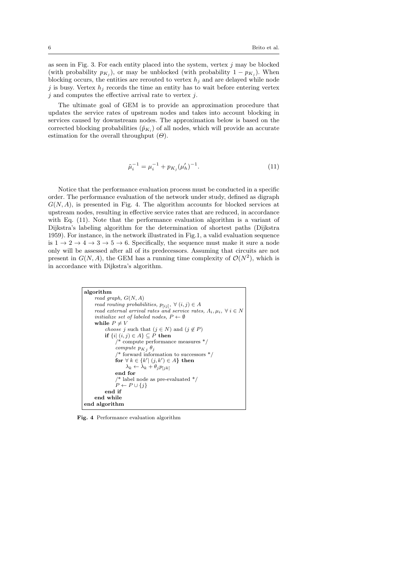as seen in Fig. 3. For each entity placed into the system, vertex  $j$  may be blocked (with probability  $p_{K_j}$ ), or may be unblocked (with probability  $1 - p_{K_j}$ ). When blocking occurs, the entities are rerouted to vertex  $h_j$  and are delayed while node j is busy. Vertex  $h_j$  records the time an entity has to wait before entering vertex  $j$  and computes the effective arrival rate to vertex  $j$ .

The ultimate goal of GEM is to provide an approximation procedure that updates the service rates of upstream nodes and takes into account blocking in services caused by downstream nodes. The approximation below is based on the corrected blocking probabilities  $(\tilde{p}_{K_i})$  of all nodes, which will provide an accurate estimation for the overall throughput  $(\Theta)$ .

$$
\tilde{\mu}_i^{-1} = \mu_i^{-1} + p_{K_j} (\mu'_h)^{-1}.
$$
\n(11)

Notice that the performance evaluation process must be conducted in a specific order. The performance evaluation of the network under study, defined as digraph  $G(N, A)$ , is presented in Fig. 4. The algorithm accounts for blocked services at upstream nodes, resulting in effective service rates that are reduced, in accordance with Eq. (11). Note that the performance evaluation algorithm is a variant of Dijkstra's labeling algorithm for the determination of shortest paths (Dijkstra 1959). For instance, in the network illustrated in Fig.1, a valid evaluation sequence is  $1 \rightarrow 2 \rightarrow 4 \rightarrow 3 \rightarrow 5 \rightarrow 6$ . Specifically, the sequence must make it sure a node only will be assessed after all of its predecessors. Assuming that circuits are not present in  $G(N, A)$ , the GEM has a running time complexity of  $\mathcal{O}(N^2)$ , which is in accordance with Dijkstra's algorithm.

```
algorithm
     read\ graph, G(N, A)read routing probabilities, p_{[ij]}, \forall (i, j) \in Aread external arrival rates and service rates, \Lambda_i, \mu_i, \forall i \in Ninitialize set of labeled nodes, P \leftarrow \emptysetwhile P \neq Vchoose i such that (j \in N) and (j \notin P)if \{i \mid (i, j) \in A\} \subseteq P then
                /* compute performance measures */
                compute p_{Kj} \theta_j* forward information to successors *for \forall k \in \{k' | (j, k') \in A\} then
                    \lambda_k \leftarrow \lambda_k + \theta_j p_{[jk]}end for
                 /* label node as pre-evaluated */
                P \leftarrow P \cup \{j\}end if
     end while
end algorithm
```
Fig. 4 Performance evaluation algorithm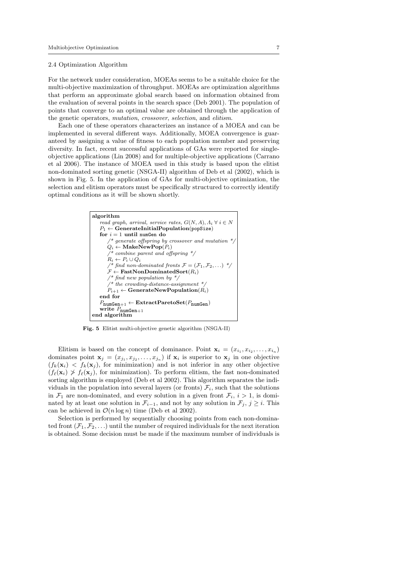#### 2.4 Optimization Algorithm

For the network under consideration, MOEAs seems to be a suitable choice for the multi-objective maximization of throughput. MOEAs are optimization algorithms that perform an approximate global search based on information obtained from the evaluation of several points in the search space (Deb 2001). The population of points that converge to an optimal value are obtained through the application of the genetic operators, mutation, crossover, selection, and elitism.

Each one of these operators characterizes an instance of a MOEA and can be implemented in several different ways. Additionally, MOEA convergence is guaranteed by assigning a value of fitness to each population member and preserving diversity. In fact, recent successful applications of GAs were reported for singleobjective applications (Lin 2008) and for multiple-objective applications (Carrano et al 2006). The instance of MOEA used in this study is based upon the elitist non-dominated sorting genetic (NSGA-II) algorithm of Deb et al (2002), which is shown in Fig. 5. In the application of GAs for multi-objective optimization, the selection and elitism operators must be specifically structured to correctly identify optimal conditions as it will be shown shortly.



Fig. 5 Elitist multi-objective genetic algorithm (NSGA-II)

Elitism is based on the concept of dominance. Point  $\mathbf{x}_i = (x_{i_1}, x_{i_2}, \dots, x_{i_n})$ dominates point  $\mathbf{x}_j = (x_{j_1}, x_{j_2}, \dots, x_{j_n})$  if  $\mathbf{x}_i$  is superior to  $\mathbf{x}_j$  in one objective  $(f_k(\mathbf{x}_i) \langle f_k(\mathbf{x}_j), \rangle)$  for minimization) and is not inferior in any other objective  $(f_{\ell}(\mathbf{x}_i) \nsucc f_{\ell}(\mathbf{x}_j))$ , for minimization). To perform elitism, the fast non-dominated sorting algorithm is employed (Deb et al 2002). This algorithm separates the individuals in the population into several layers (or fronts)  $\mathcal{F}_i$ , such that the solutions in  $\mathcal{F}_1$  are non-dominated, and every solution in a given front  $\mathcal{F}_i$ ,  $i > 1$ , is dominated by at least one solution in  $\mathcal{F}_{i-1}$ , and not by any solution in  $\mathcal{F}_j$ ,  $j \geq i$ . This can be achieved in  $\mathcal{O}(n \log n)$  time (Deb et al 2002).

Selection is performed by sequentially choosing points from each non-dominated front  $(\mathcal{F}_1, \mathcal{F}_2, \ldots)$  until the number of required individuals for the next iteration is obtained. Some decision must be made if the maximum number of individuals is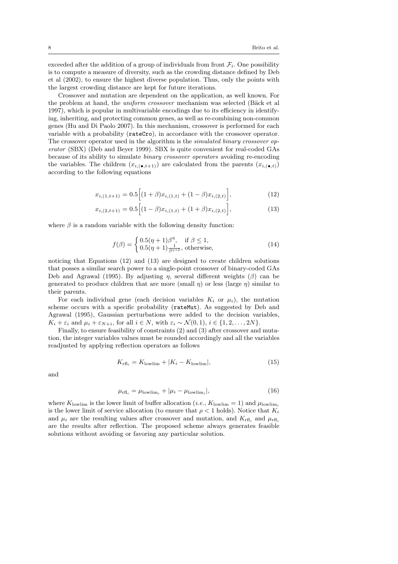exceeded after the addition of a group of individuals from front  $\mathcal{F}_i$ . One possibility is to compute a measure of diversity, such as the crowding distance defined by Deb et al (2002), to ensure the highest diverse population. Thus, only the points with the largest crowding distance are kept for future iterations.

Crossover and mutation are dependent on the application, as well known. For the problem at hand, the *uniform crossover* mechanism was selected (Bäck et al.) 1997), which is popular in multivariable encodings due to its efficiency in identifying, inheriting, and protecting common genes, as well as re-combining non-common genes (Hu and Di Paolo 2007). In this mechanism, crossover is performed for each variable with a probability ( $\text{rateCro}$ ), in accordance with the crossover operator. The crossover operator used in the algorithm is the simulated binary crossover operator (SBX) (Deb and Beyer 1999). SBX is quite convenient for real-coded GAs because of its ability to simulate binary crossover operators avoiding re-encoding the variables. The children  $(x_{i,(\bullet,t+1)})$  are calculated from the parents  $(x_{i,(\bullet,t)})$ according to the following equations

$$
x_{i,(1,t+1)} = 0.5 \Big[ (1+\beta)x_{i,(1,t)} + (1-\beta)x_{i,(2,t)} \Big],
$$
\n(12)

$$
x_{i,(2,t+1)} = 0.5 \left[ (1 - \beta) x_{i,(1,t)} + (1 + \beta) x_{i,(2,t)} \right],
$$
\n(13)

where  $\beta$  is a random variable with the following density function:

$$
f(\beta) = \begin{cases} 0.5(\eta + 1)\beta^{\eta}, & \text{if } \beta \le 1, \\ 0.5(\eta + 1)\frac{1}{\beta^{\eta+2}}, \text{otherwise}, \end{cases}
$$
(14)

noticing that Equations (12) and (13) are designed to create children solutions that posses a similar search power to a single-point crossover of binary-coded GAs Deb and Agrawal (1995). By adjusting  $\eta$ , several different weights ( $\beta$ ) can be generated to produce children that are more (small  $\eta$ ) or less (large  $\eta$ ) similar to their parents.

For each individual gene (each decision variables  $K_i$  or  $\mu_i$ ), the mutation scheme occurs with a specific probability (rateMut). As suggested by Deb and Agrawal (1995), Gaussian perturbations were added to the decision variables,  $K_i + \varepsilon_i$  and  $\mu_i + \varepsilon_{N+i}$ , for all  $i \in N$ , with  $\varepsilon_i \sim \mathcal{N}(0, 1)$ ,  $i \in \{1, 2, \ldots, 2N\}$ .

Finally, to ensure feasibility of constraints (2) and (3) after crossover and mutation, the integer variables values must be rounded accordingly and all the variables readjusted by applying reflection operators as follows

$$
K_{\rm rfl_i} = K_{\rm lowlim} + |K_i - K_{\rm lowlim}|,\tag{15}
$$

and

$$
\mu_{\mathrm{rfl}_i} = \mu_{\mathrm{lowlim}_i} + |\mu_i - \mu_{\mathrm{lowlim}_i}|,\tag{16}
$$

where  $K_{\text{lowlim}}$  is the lower limit of buffer allocation (*i.e.*,  $K_{\text{lowlim}} = 1$ ) and  $\mu_{\text{lowlim}_i}$ is the lower limit of service allocation (to ensure that  $\rho < 1$  holds). Notice that  $K_i$ and  $\mu_i$  are the resulting values after crossover and mutation, and  $K_{\text{rfl}_i}$  and  $\mu_{\text{rfl}_i}$ are the results after reflection. The proposed scheme always generates feasible solutions without avoiding or favoring any particular solution.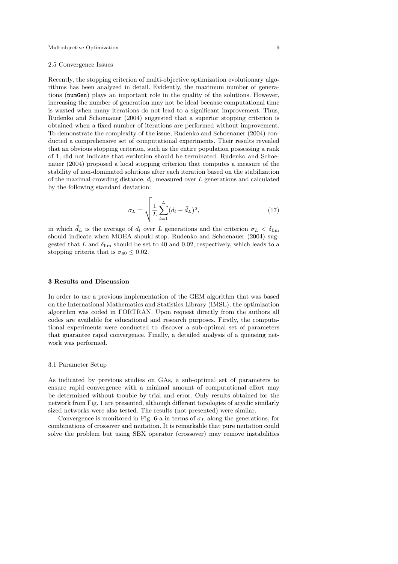#### 2.5 Convergence Issues

Recently, the stopping criterion of multi-objective optimization evolutionary algorithms has been analyzed in detail. Evidently, the maximum number of generations (numGen) plays an important role in the quality of the solutions. However, increasing the number of generation may not be ideal because computational time is wasted when many iterations do not lead to a significant improvement. Thus, Rudenko and Schoenauer (2004) suggested that a superior stopping criterion is obtained when a fixed number of iterations are performed without improvement. To demonstrate the complexity of the issue, Rudenko and Schoenauer (2004) conducted a comprehensive set of computational experiments. Their results revealed that an obvious stopping criterion, such as the entire population possessing a rank of 1, did not indicate that evolution should be terminated. Rudenko and Schoenauer (2004) proposed a local stopping criterion that computes a measure of the stability of non-dominated solutions after each iteration based on the stabilization of the maximal crowding distance,  $d_l$ , measured over L generations and calculated by the following standard deviation:

$$
\sigma_L = \sqrt{\frac{1}{L} \sum_{l=1}^{L} (d_l - \bar{d}_L)^2},\tag{17}
$$

in which  $d_L$  is the average of  $d_l$  over L generations and the criterion  $\sigma_L < \delta_{\text{lim}}$ should indicate when MOEA should stop. Rudenko and Schoenauer (2004) suggested that  $L$  and  $\delta_{\text{lim}}$  should be set to 40 and 0.02, respectively, which leads to a stopping criteria that is  $\sigma_{40} \leq 0.02$ .

# 3 Results and Discussion

In order to use a previous implementation of the GEM algorithm that was based on the International Mathematics and Statistics Library (IMSL), the optimization algorithm was coded in FORTRAN. Upon request directly from the authors all codes are available for educational and research purposes. Firstly, the computational experiments were conducted to discover a sub-optimal set of parameters that guarantee rapid convergence. Finally, a detailed analysis of a queueing network was performed.

# 3.1 Parameter Setup

As indicated by previous studies on GAs, a sub-optimal set of parameters to ensure rapid convergence with a minimal amount of computational effort may be determined without trouble by trial and error. Only results obtained for the network from Fig. 1 are presented, although different topologies of acyclic similarly sized networks were also tested. The results (not presented) were similar.

Convergence is monitored in Fig. 6-a in terms of  $\sigma_L$  along the generations, for combinations of crossover and mutation. It is remarkable that pure mutation could solve the problem but using SBX operator (crossover) may remove instabilities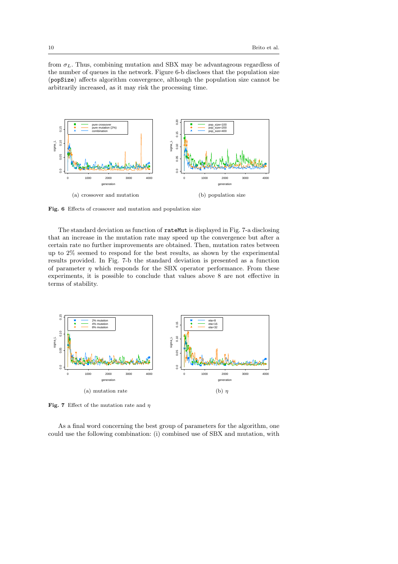from  $\sigma_L$ . Thus, combining mutation and SBX may be advantageous regardless of the number of queues in the network. Figure 6-b discloses that the population size (popSize) affects algorithm convergence, although the population size cannot be arbitrarily increased, as it may risk the processing time.



Fig. 6 Effects of crossover and mutation and population size

The standard deviation as function of rateMut is displayed in Fig. 7-a disclosing that an increase in the mutation rate may speed up the convergence but after a certain rate no further improvements are obtained. Then, mutation rates between up to 2% seemed to respond for the best results, as shown by the experimental results provided. In Fig. 7-b the standard deviation is presented as a function of parameter  $\eta$  which responds for the SBX operator performance. From these experiments, it is possible to conclude that values above 8 are not effective in terms of stability.



Fig. 7 Effect of the mutation rate and  $\eta$ 

As a final word concerning the best group of parameters for the algorithm, one could use the following combination: (i) combined use of SBX and mutation, with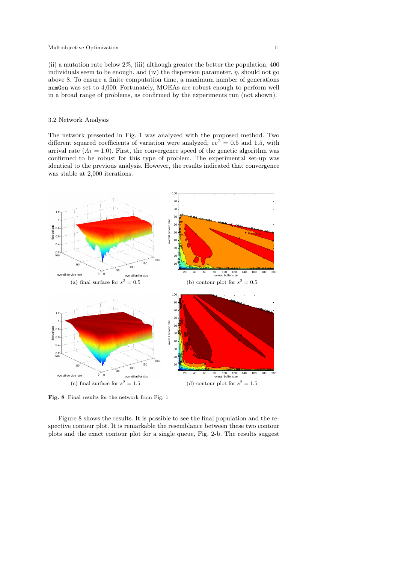(ii) a mutation rate below 2%, (iii) although greater the better the population, 400 individuals seem to be enough, and (iv) the dispersion parameter,  $\eta$ , should not go above 8. To ensure a finite computation time, a maximum number of generations numGen was set to 4,000. Fortunately, MOEAs are robust enough to perform well in a broad range of problems, as confirmed by the experiments run (not shown).

# 3.2 Network Analysis

The network presented in Fig. 1 was analyzed with the proposed method. Two different squared coefficients of variation were analyzed,  $cv^2 = 0.5$  and 1.5, with arrival rate  $(A_1 = 1.0)$ . First, the convergence speed of the genetic algorithm was confirmed to be robust for this type of problem. The experimental set-up was identical to the previous analysis. However, the results indicated that convergence was stable at 2,000 iterations.



Fig. 8 Final results for the network from Fig. 1

Figure 8 shows the results. It is possible to see the final population and the respective contour plot. It is remarkable the resemblance between these two contour plots and the exact contour plot for a single queue, Fig. 2-b. The results suggest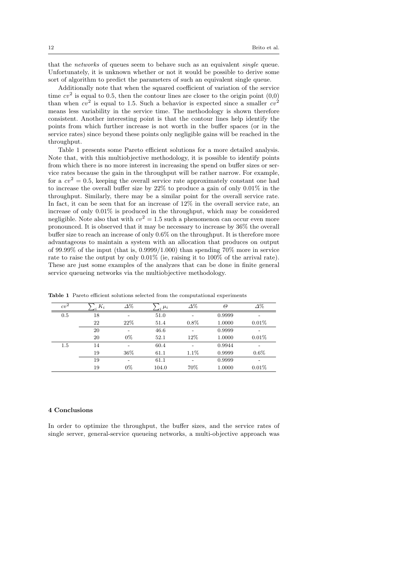that the networks of queues seem to behave such as an equivalent single queue. Unfortunately, it is unknown whether or not it would be possible to derive some sort of algorithm to predict the parameters of such an equivalent single queue.

Additionally note that when the squared coefficient of variation of the service time  $cv^2$  is equal to 0.5, then the contour lines are closer to the origin point  $(0,0)$ than when  $cv^2$  is equal to 1.5. Such a behavior is expected since a smaller  $cv^2$ means less variability in the service time. The methodology is shown therefore consistent. Another interesting point is that the contour lines help identify the points from which further increase is not worth in the buffer spaces (or in the service rates) since beyond these points only negligible gains will be reached in the throughput.

Table 1 presents some Pareto efficient solutions for a more detailed analysis. Note that, with this multiobjective methodology, it is possible to identify points from which there is no more interest in increasing the spend on buffer sizes or service rates because the gain in the throughput will be rather narrow. For example, for a  $cv^2 = 0.5$ , keeping the overall service rate approximately constant one had to increase the overall buffer size by 22% to produce a gain of only 0.01% in the throughput. Similarly, there may be a similar point for the overall service rate. In fact, it can be seen that for an increase of  $12\%$  in the overall service rate, an increase of only 0.01% is produced in the throughput, which may be considered negligible. Note also that with  $cv^2 = 1.5$  such a phenomenon can occur even more pronounced. It is observed that it may be necessary to increase by 36% the overall buffer size to reach an increase of only 0.6% on the throughput. It is therefore more advantageous to maintain a system with an allocation that produces on output of 99.99% of the input (that is,  $0.9999/1.000$ ) than spending 70% more in service rate to raise the output by only 0.01% (ie, raising it to 100% of the arrival rate). These are just some examples of the analyzes that can be done in finite general service queueing networks via the multiobjective methodology.

| $cv^2$ | $K_i$ | $\Delta\%$ | $\mu_i$ | $\Delta\%$               | Θ      | $\Delta\%$ |
|--------|-------|------------|---------|--------------------------|--------|------------|
| 0.5    | 18    |            | 51.0    |                          | 0.9999 |            |
|        | 22    | 22%        | 51.4    | 0.8%                     | 1.0000 | 0.01%      |
|        | 20    | -          | 46.6    | $\overline{\phantom{0}}$ | 0.9999 | -          |
|        | 20    | $0\%$      | 52.1    | 12%                      | 1.0000 | 0.01%      |
| 1.5    | 14    |            | 60.4    |                          | 0.9944 |            |
|        | 19    | 36\%       | 61.1    | 1.1\%                    | 0.9999 | $0.6\%$    |
|        | 19    |            | 61.1    |                          | 0.9999 | -          |
|        | 19    | $0\%$      | 104.0   | 70%                      | 1.0000 | 0.01%      |
|        |       |            |         |                          |        |            |

Table 1 Pareto efficient solutions selected from the computational experiments

# 4 Conclusions

In order to optimize the throughput, the buffer sizes, and the service rates of single server, general-service queueing networks, a multi-objective approach was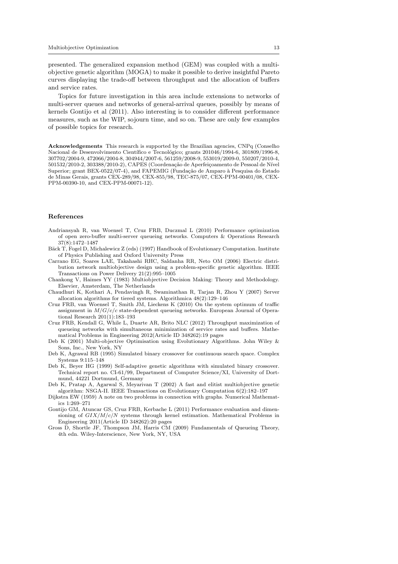presented. The generalized expansion method (GEM) was coupled with a multiobjective genetic algorithm (MOGA) to make it possible to derive insightful Pareto curves displaying the trade-off between throughput and the allocation of buffers and service rates.

Topics for future investigation in this area include extensions to networks of multi-server queues and networks of general-arrival queues, possibly by means of kernels Gontijo et al (2011). Also interesting is to consider different performance measures, such as the WIP, sojourn time, and so on. These are only few examples of possible topics for research.

Acknowledgements This research is supported by the Brazilian agencies, CNPq (Conselho Nacional de Desenvolvimento Científico e Tecnológico; grants 201046/1994-6, 301809/1996-8, 307702/2004-9, 472066/2004-8, 304944/2007-6, 561259/2008-9, 553019/2009-0, 550207/2010-4, 501532/2010-2, 303388/2010-2), CAPES (Coordenação de Aperfeiçoamento de Pessoal de Nível Superior; grant BEX-0522/07-4), and FAPEMIG (Fundação de Amparo à Pesquisa do Estado de Minas Gerais, grants CEX-289/98, CEX-855/98, TEC-875/07, CEX-PPM-00401/08, CEX-PPM-00390-10, and CEX-PPM-00071-12).

# References

- Andriansyah R, van Woensel T, Cruz FRB, Duczmal L (2010) Performance optimization of open zero-buffer multi-server queueing networks. Computers & Operations Research 37(8):1472–1487
- Bäck T, Fogel D, Michalewicz Z (eds) (1997) Handbook of Evolutionary Computation. Institute of Physics Publishing and Oxford University Press
- Carrano EG, Soares LAE, Takahashi RHC, Saldanha RR, Neto OM (2006) Electric distribution network multiobjective design using a problem-specific genetic algorithm. IEEE Transactions on Power Delivery 21(2):995–1005
- Chankong V, Haimes YY (1983) Multiobjective Decision Making: Theory and Methodology. Elsevier, Amsterdam, The Netherlands
- Chaudhuri K, Kothari A, Pendavingh R, Swaminathan R, Tarjan R, Zhou Y (2007) Server allocation algorithms for tiered systems. Algorithmica 48(2):129–146
- Cruz FRB, van Woensel T, Smith JM, Lieckens K (2010) On the system optimum of traffic assignment in  $M/G/c/c$  state-dependent queueing networks. European Journal of Operational Research 201(1):183–193
- Cruz FRB, Kendall G, While L, Duarte AR, Brito NLC (2012) Throughput maximization of queueing networks with simultaneous minimization of service rates and buffers. Mathematical Problems in Engineering 2012(Article ID 348262):19 pages
- Deb K (2001) Multi-objective Optimisation using Evolutionary Algorithms. John Wiley & Sons, Inc., New York, NY
- Deb K, Agrawal RB (1995) Simulated binary crossover for continuous search space. Complex Systems 9:115–148
- Deb K, Beyer HG (1999) Self-adaptive genetic algorithms with simulated binary crossover. Technical report no. CI-61/99, Department of Computer Science/XI, University of Dortmund, 44221 Dortmund, Germany
- Deb K, Pratap A, Agarwal S, Meyarivan T (2002) A fast and elitist multiobjective genetic algorithm: NSGA-II. IEEE Transactions on Evolutionary Computation 6(2):182–197
- Dijkstra EW (1959) A note on two problems in connection with graphs. Numerical Mathematics 1:269–271
- Gontijo GM, Atuncar GS, Cruz FRB, Kerbache L (2011) Performance evaluation and dimensioning of  $GIX/M/c/N$  systems through kernel estimation. Mathematical Problems in Engineering 2011(Article ID 348262):20 pages
- Gross D, Shortle JF, Thompson JM, Harris CM (2009) Fundamentals of Queueing Theory, 4th edn. Wiley-Interscience, New York, NY, USA